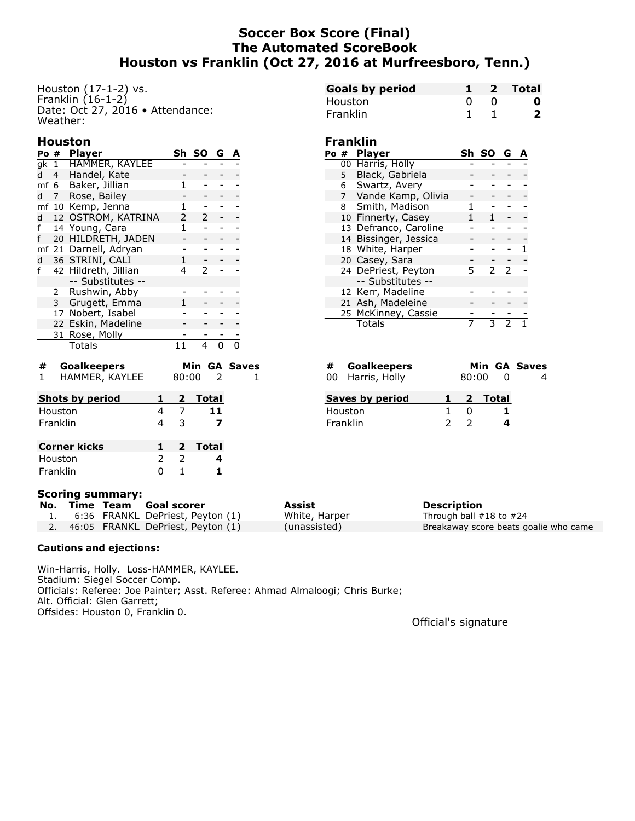## **Soccer Box Score (Final) The Automated ScoreBook Houston vs Franklin (Oct 27, 2016 at Murfreesboro, Tenn.)**

Houston (17-1-2) vs. Franklin  $(16-1-2)$ Date: Oct 27, 2016 • Attendance: Weather:

### **Houston**

|     | Po #           | <b>Player</b>         |   | Sh SO         | G |  |
|-----|----------------|-----------------------|---|---------------|---|--|
|     |                | gk 1 HAMMER, KAYLEE   |   |               |   |  |
| d h | $4 \quad$      | Handel, Kate          |   |               |   |  |
|     |                | mf 6 Baker, Jillian   | 1 |               |   |  |
| d   | $7^{\circ}$    | Rose, Bailey          |   |               |   |  |
|     |                | mf 10 Kemp, Jenna     |   |               |   |  |
| d   |                | 12 OSTROM, KATRINA    | 2 | 2             |   |  |
| f   |                | 14 Young, Cara        | 1 |               |   |  |
| f   |                | 20 HILDRETH, JADEN    |   |               |   |  |
|     |                | mf 21 Darnell, Adryan |   |               |   |  |
| d   |                | 36 STRINI, CALI       |   |               |   |  |
| f   |                | 42 Hildreth, Jillian  | 4 | $\mathcal{P}$ |   |  |
|     |                | -- Substitutes --     |   |               |   |  |
|     | 2              | Rushwin, Abby         |   |               |   |  |
|     | 3 <sup>7</sup> | Grugett, Emma         |   |               |   |  |
|     |                | 17 Nobert, Isabel     |   |               |   |  |
|     |                | 22 Eskin, Madeline    |   |               |   |  |
|     | 31             | Rose, Molly           |   |               |   |  |
|     |                | Totals                |   | 4             |   |  |

| #        | <b>Goalkeepers</b>     |               |               |         |                | Min GA Saves |
|----------|------------------------|---------------|---------------|---------|----------------|--------------|
| 1        | HAMMER, KAYLEE         |               | 80:00         |         | $\overline{z}$ |              |
|          | <b>Shots by period</b> |               |               | 2 Total |                |              |
|          | Houston                | 4             |               |         | 11             |              |
| Franklin |                        |               | 3             |         |                |              |
|          | <b>Corner kicks</b>    |               | $\mathbf{2}$  | Total   |                |              |
|          | Houston                | $\mathcal{P}$ | $\mathcal{P}$ |         | 4              |              |
|          | Franklin               |               |               |         |                |              |

| <b>Goals by period</b> |  | 2 Total |
|------------------------|--|---------|
| Houston                |  |         |
| Franklin               |  |         |

### **Franklin**

| Po # |                | <b>Player</b>         | Sh. | .so           | G |  |
|------|----------------|-----------------------|-----|---------------|---|--|
|      |                | 00 Harris, Holly      |     |               |   |  |
|      | 5 <sub>1</sub> | Black, Gabriela       |     |               |   |  |
|      | 6              | Swartz, Avery         |     |               |   |  |
|      | $7^{\circ}$    | Vande Kamp, Olivia    |     |               |   |  |
|      | 8              | Smith, Madison        |     |               |   |  |
|      |                | 10 Finnerty, Casey    | 1.  | 1             |   |  |
|      |                | 13 Defranco, Caroline |     |               |   |  |
|      |                | 14 Bissinger, Jessica |     |               |   |  |
|      |                | 18 White, Harper      |     |               |   |  |
|      |                | 20 Casey, Sara        |     |               |   |  |
|      |                | 24 DePriest, Peyton   | 5.  | $\mathcal{P}$ | 2 |  |
|      |                | -- Substitutes --     |     |               |   |  |
|      |                | 12 Kerr, Madeline     |     |               |   |  |
|      |                | 21 Ash, Madeleine     |     |               |   |  |
|      |                | 25 McKinney, Cassie   |     |               |   |  |
|      |                | Totals                |     |               |   |  |

| # | <b>Goalkeepers</b> |    |              |         | Min GA Saves |
|---|--------------------|----|--------------|---------|--------------|
|   | 00 Harris, Holly   |    | 80:00        |         |              |
|   | Saves by period    | 1. |              | 2 Total |              |
|   | Houston            |    | $\mathbf{I}$ |         |              |
|   | Franklin           |    |              |         |              |

#### **Scoring summary:**

|  | No. Time Team Goal scorer            | Assist        | <b>Description</b>                    |
|--|--------------------------------------|---------------|---------------------------------------|
|  | 6:36 FRANKL DePriest, Peyton (1)     | White, Harper | Through ball $#18$ to $#24$           |
|  | 2. 46:05 FRANKL DePriest, Peyton (1) | (unassisted)  | Breakaway score beats goalie who came |

#### **Cautions and ejections:**

Win-Harris, Holly. Loss-HAMMER, KAYLEE. Stadium: Siegel Soccer Comp. Officials: Referee: Joe Painter; Asst. Referee: Ahmad Almaloogi; Chris Burke; Alt. Official: Glen Garrett; Offsides: Houston 0, Franklin 0.

Official's signature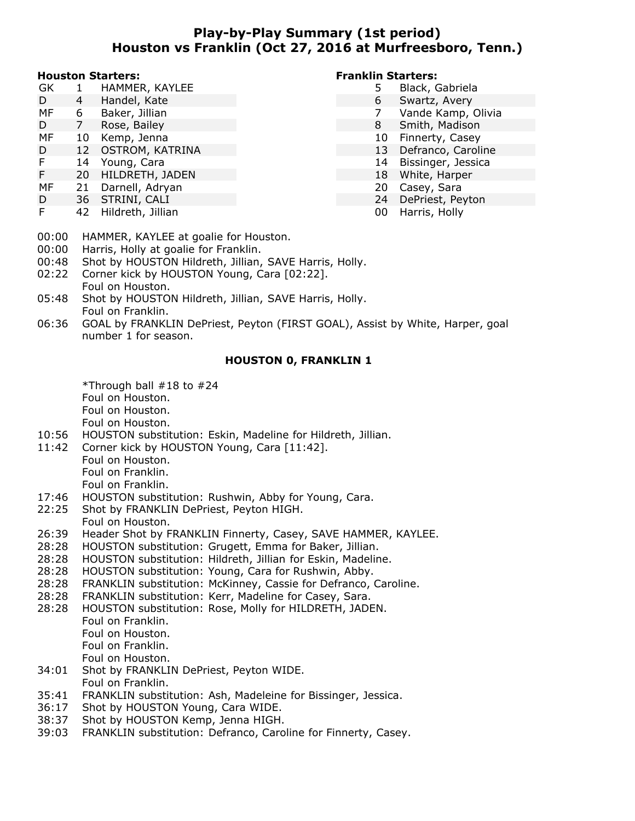## **Play-by-Play Summary (1st period) Houston vs Franklin (Oct 27, 2016 at Murfreesboro, Tenn.)**

#### **Houston Starters:**

- GK 1 HAMMER, KAYLEE
- D 4 Handel, Kate
- MF 6 Baker, Jillian
- D 7 Rose, Bailey
- MF 10 Kemp, Jenna
- D 12 OSTROM, KATRINA
- F 14 Young, Cara
- F 20 HILDRETH, JADEN
- MF 21 Darnell, Adryan
- D 36 STRINI, CALI
- F 42 Hildreth, Jillian

### **Franklin Starters:**

- 5 Black, Gabriela
	- 6 Swartz, Avery
- 7 Vande Kamp, Olivia
- 8 Smith, Madison
- 10 Finnerty, Casey
- 13 Defranco, Caroline
- 14 Bissinger, Jessica
- 18 White, Harper
- 20 Casey, Sara
- 24 DePriest, Peyton
- 00 Harris, Holly
- 00:00 HAMMER, KAYLEE at goalie for Houston.
- 00:00 Harris, Holly at goalie for Franklin.
- 00:48 Shot by HOUSTON Hildreth, Jillian, SAVE Harris, Holly.
- 02:22 Corner kick by HOUSTON Young, Cara [02:22]. Foul on Houston.
- 05:48 Shot by HOUSTON Hildreth, Jillian, SAVE Harris, Holly. Foul on Franklin.
- 06:36 GOAL by FRANKLIN DePriest, Peyton (FIRST GOAL), Assist by White, Harper, goal number 1 for season.

### **HOUSTON 0, FRANKLIN 1**

\*Through ball #18 to #24 Foul on Houston. Foul on Houston. Foul on Houston.

- 10:56 HOUSTON substitution: Eskin, Madeline for Hildreth, Jillian.
- 11:42 Corner kick by HOUSTON Young, Cara [11:42]. Foul on Houston. Foul on Franklin. Foul on Franklin.
- 17:46 HOUSTON substitution: Rushwin, Abby for Young, Cara.
- 22:25 Shot by FRANKLIN DePriest, Peyton HIGH. Foul on Houston.
- 26:39 Header Shot by FRANKLIN Finnerty, Casey, SAVE HAMMER, KAYLEE.
- 28:28 HOUSTON substitution: Grugett, Emma for Baker, Jillian.
- 28:28 HOUSTON substitution: Hildreth, Jillian for Eskin, Madeline.
- 28:28 HOUSTON substitution: Young, Cara for Rushwin, Abby.
- 28:28 FRANKLIN substitution: McKinney, Cassie for Defranco, Caroline.
- 28:28 FRANKLIN substitution: Kerr, Madeline for Casey, Sara.
- 28:28 HOUSTON substitution: Rose, Molly for HILDRETH, JADEN.
	- Foul on Franklin.
	- Foul on Houston.
	- Foul on Franklin.
	- Foul on Houston.
- 34:01 Shot by FRANKLIN DePriest, Peyton WIDE. Foul on Franklin.
- 35:41 FRANKLIN substitution: Ash, Madeleine for Bissinger, Jessica.
- 36:17 Shot by HOUSTON Young, Cara WIDE.
- 38:37 Shot by HOUSTON Kemp, Jenna HIGH.
- 39:03 FRANKLIN substitution: Defranco, Caroline for Finnerty, Casey.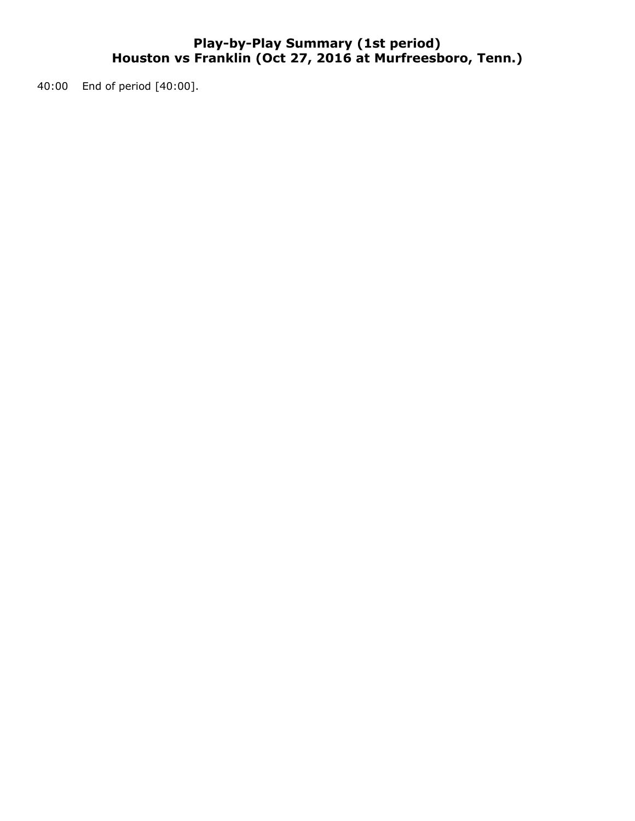## **Play-by-Play Summary (1st period) Houston vs Franklin (Oct 27, 2016 at Murfreesboro, Tenn.)**

40:00 End of period [40:00].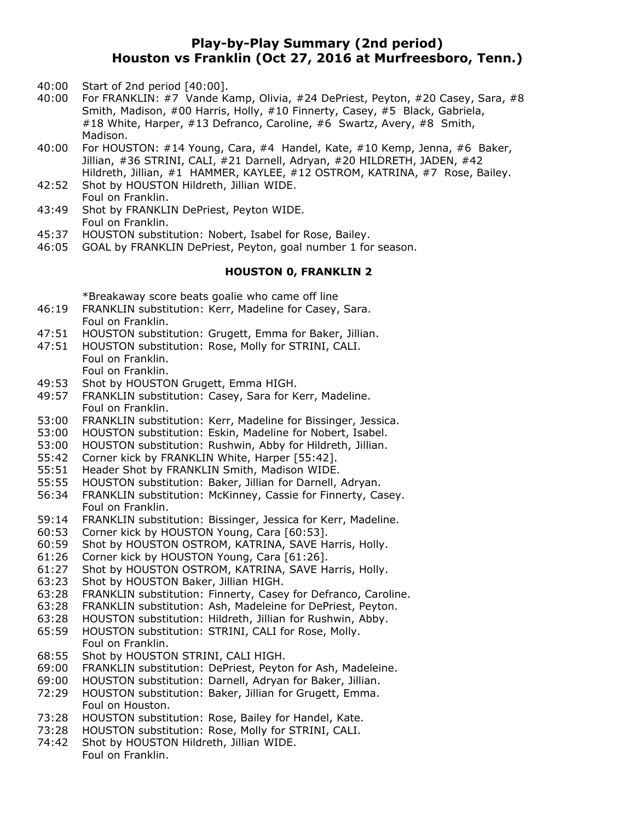## **Play-by-Play Summary (2nd period) Houston vs Franklin (Oct 27, 2016 at Murfreesboro, Tenn.)**

- 40:00 Start of 2nd period [40:00].
- 40:00 For FRANKLIN: #7 Vande Kamp, Olivia, #24 DePriest, Peyton, #20 Casey, Sara, #8 Smith, Madison, #00 Harris, Holly, #10 Finnerty, Casey, #5 Black, Gabriela, #18 White, Harper, #13 Defranco, Caroline, #6 Swartz, Avery, #8 Smith, Madison.
- 40:00 For HOUSTON: #14 Young, Cara, #4 Handel, Kate, #10 Kemp, Jenna, #6 Baker, Jillian, #36 STRINI, CALI, #21 Darnell, Adryan, #20 HILDRETH, JADEN, #42 Hildreth, Jillian, #1 HAMMER, KAYLEE, #12 OSTROM, KATRINA, #7 Rose, Bailey.
- 42:52 Shot by HOUSTON Hildreth, Jillian WIDE. Foul on Franklin.
- 43:49 Shot by FRANKLIN DePriest, Peyton WIDE. Foul on Franklin.
- 45:37 HOUSTON substitution: Nobert, Isabel for Rose, Bailey.
- 46:05 GOAL by FRANKLIN DePriest, Peyton, goal number 1 for season.

#### **HOUSTON 0, FRANKLIN 2**

\*Breakaway score beats goalie who came off line

- 46:19 FRANKLIN substitution: Kerr, Madeline for Casey, Sara. Foul on Franklin.
- 47:51 HOUSTON substitution: Grugett, Emma for Baker, Jillian.
- 47:51 HOUSTON substitution: Rose, Molly for STRINI, CALI. Foul on Franklin. Foul on Franklin.
- 49:53 Shot by HOUSTON Grugett, Emma HIGH.
- 49:57 FRANKLIN substitution: Casey, Sara for Kerr, Madeline. Foul on Franklin.
- 53:00 FRANKLIN substitution: Kerr, Madeline for Bissinger, Jessica.
- 53:00 HOUSTON substitution: Eskin, Madeline for Nobert, Isabel.
- 53:00 HOUSTON substitution: Rushwin, Abby for Hildreth, Jillian.
- 55:42 Corner kick by FRANKLIN White, Harper [55:42].
- 55:51 Header Shot by FRANKLIN Smith, Madison WIDE.
- 55:55 HOUSTON substitution: Baker, Jillian for Darnell, Adryan.
- 56:34 FRANKLIN substitution: McKinney, Cassie for Finnerty, Casey. Foul on Franklin.
- 59:14 FRANKLIN substitution: Bissinger, Jessica for Kerr, Madeline.
- 60:53 Corner kick by HOUSTON Young, Cara [60:53].
- 60:59 Shot by HOUSTON OSTROM, KATRINA, SAVE Harris, Holly.
- 61:26 Corner kick by HOUSTON Young, Cara [61:26].
- 61:27 Shot by HOUSTON OSTROM, KATRINA, SAVE Harris, Holly.
- 63:23 Shot by HOUSTON Baker, Jillian HIGH.
- 63:28 FRANKLIN substitution: Finnerty, Casey for Defranco, Caroline.
- 63:28 FRANKLIN substitution: Ash, Madeleine for DePriest, Peyton.
- 63:28 HOUSTON substitution: Hildreth, Jillian for Rushwin, Abby.
- 65:59 HOUSTON substitution: STRINI, CALI for Rose, Molly. Foul on Franklin.
- 68:55 Shot by HOUSTON STRINI, CALI HIGH.
- 69:00 FRANKLIN substitution: DePriest, Peyton for Ash, Madeleine.
- 69:00 HOUSTON substitution: Darnell, Adryan for Baker, Jillian.
- 72:29 HOUSTON substitution: Baker, Jillian for Grugett, Emma. Foul on Houston.
- 73:28 HOUSTON substitution: Rose, Bailey for Handel, Kate.
- 73:28 HOUSTON substitution: Rose, Molly for STRINI, CALI.
- 74:42 Shot by HOUSTON Hildreth, Jillian WIDE. Foul on Franklin.